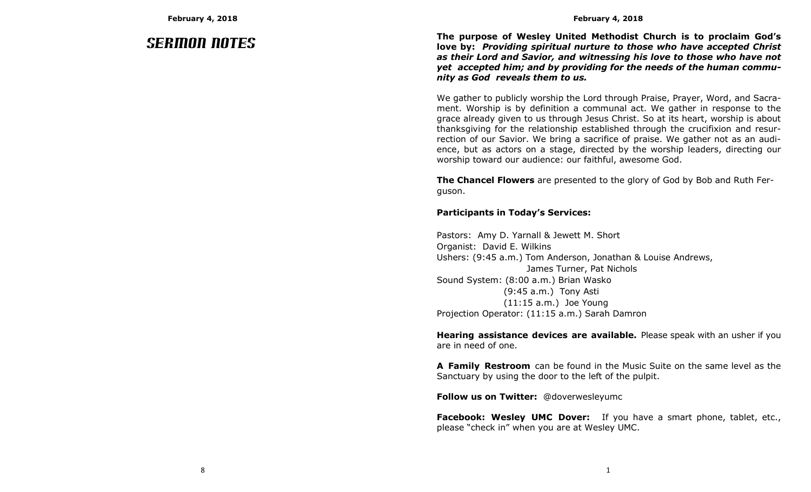# Sermon Notes

**The purpose of Wesley United Methodist Church is to proclaim God's love by:** *Providing spiritual nurture to those who have accepted Christ as their Lord and Savior, and witnessing his love to those who have not yet accepted him; and by providing for the needs of the human community as God reveals them to us.*

We gather to publicly worship the Lord through Praise, Prayer, Word, and Sacrament. Worship is by definition a communal act. We gather in response to the grace already given to us through Jesus Christ. So at its heart, worship is about thanksgiving for the relationship established through the crucifixion and resurrection of our Savior. We bring a sacrifice of praise. We gather not as an audience, but as actors on a stage, directed by the worship leaders, directing our worship toward our audience: our faithful, awesome God.

**The Chancel Flowers** are presented to the glory of God by Bob and Ruth Ferguson.

# **Participants in Today's Services:**

Pastors: Amy D. Yarnall & Jewett M. Short Organist: David E. Wilkins Ushers: (9:45 a.m.) Tom Anderson, Jonathan & Louise Andrews, James Turner, Pat Nichols Sound System: (8:00 a.m.) Brian Wasko (9:45 a.m.) Tony Asti (11:15 a.m.) Joe Young Projection Operator: (11:15 a.m.) Sarah Damron

**Hearing assistance devices are available.** Please speak with an usher if you are in need of one.

**A Family Restroom** can be found in the Music Suite on the same level as the Sanctuary by using the door to the left of the pulpit.

**Follow us on Twitter:** @doverwesleyumc

**Facebook: Wesley UMC Dover:** If you have a smart phone, tablet, etc., please "check in" when you are at Wesley UMC.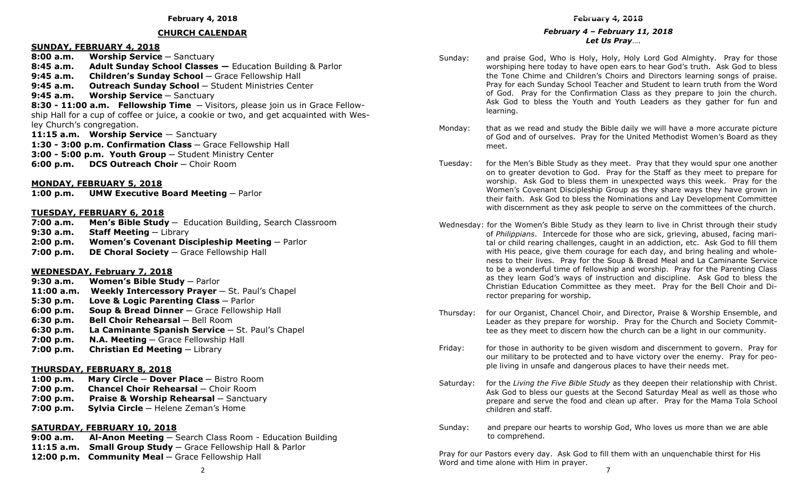## **CHURCH CALENDAR**

# **SUNDAY, FEBRUARY 4, 2018**

**8:00 a.m. Worship Service ─** Sanctuary **8:45 a.m. Adult Sunday School Classes —** Education Building & Parlor **9:45 a.m. Children's Sunday School ─** Grace Fellowship Hall 9:45 a.m. **Outreach Sunday School** - Student Ministries Center **9:45 a.m. Worship Service ─** Sanctuary **8:30 - 11:00 a.m. Fellowship Time ─** Visitors, please join us in Grace Fellowship Hall for a cup of coffee or juice, a cookie or two, and get acquainted with Wesley Church's congregation. 11:15 a.m. Worship Service – Sanctuary

**1:30 - 3:00 p.m. Confirmation Class** – Grace Fellowship Hall **3:00 - 5:00 p.m. Youth Group** ─ Student Ministry Center **6:00 p.m. DCS Outreach Choir - Choir Room** 

## **MONDAY, FEBRUARY 5, 2018**

**1:00 p.m. UMW Executive Board Meeting** — Parlor

#### **TUESDAY, FEBRUARY 6, 2018**

**7:00 a.m. Men's Bible Study ─** Education Building, Search Classroom **9:30 a.m. Staff Meeting ─** Library **2:00 p.m. Women's Covenant Discipleship Meeting ─** Parlor **7:00 p.m. DE Choral Society ─** Grace Fellowship Hall

#### **WEDNESDAY, February 7, 2018**

**9:30 a.m. Women's Bible Study** - Parlor **11:00 a.m. Weekly Intercessory Prayer** ─ St. Paul's Chapel **5:30 p.m. Love & Logic Parenting Class** ─ Parlor **6:00 p.m. Soup & Bread Dinner** – Grace Fellowship Hall **6:30 p.m. Bell Choir Rehearsal - Bell Room 6:30 p.m.** La Caminante Spanish Service – St. Paul's Chapel **7:00 p.m. N.A. Meeting** — Grace Fellowship Hall **7:00 p.m. Christian Ed Meeting ─** Library

#### **THURSDAY, FEBRUARY 8, 2018**

**1:00 p.m. Mary Circle ─ Dover Place ─** Bistro Room **7:00 p.m. Chancel Choir Rehearsal ─** Choir Room **7:00 p.m. Praise & Worship Rehearsal ─** Sanctuary

**7:00 p.m. Sylvia Circle ─** Helene Zeman's Home

# **SATURDAY, FEBRUARY 10, 2018**

**9:00 a.m. Al-Anon Meeting ─** Search Class Room - Education Building **11:15 a.m. Small Group Study ─** Grace Fellowship Hall & Parlor **12:00 p.m. Community Meal** - Grace Fellowship Hall

#### *February 4 – February 11, 2018 Let Us Pray*….

- Sunday: and praise God, Who is Holy, Holy, Holy Lord God Almighty. Pray for those worshiping here today to have open ears to hear God's truth. Ask God to bless the Tone Chime and Children's Choirs and Directors learning songs of praise. Pray for each Sunday School Teacher and Student to learn truth from the Word of God. Pray for the Confirmation Class as they prepare to join the church. Ask God to bless the Youth and Youth Leaders as they gather for fun and learning.
- Monday: that as we read and study the Bible daily we will have a more accurate picture of God and of ourselves. Pray for the United Methodist Women's Board as they meet.
- Tuesday: for the Men's Bible Study as they meet. Pray that they would spur one another on to greater devotion to God. Pray for the Staff as they meet to prepare for worship. Ask God to bless them in unexpected ways this week. Pray for the Women's Covenant Discipleship Group as they share ways they have grown in their faith. Ask God to bless the Nominations and Lay Development Committee with discernment as they ask people to serve on the committees of the church.
- Wednesday: for the Women's Bible Study as they learn to live in Christ through their study of *Philippians*. Intercede for those who are sick, grieving, abused, facing marital or child rearing challenges, caught in an addiction, etc. Ask God to fill them with His peace, give them courage for each day, and bring healing and wholeness to their lives. Pray for the Soup & Bread Meal and La Caminante Service to be a wonderful time of fellowship and worship. Pray for the Parenting Class as they learn God's ways of instruction and discipline. Ask God to bless the Christian Education Committee as they meet. Pray for the Bell Choir and Director preparing for worship.
- Thursday: for our Organist, Chancel Choir, and Director, Praise & Worship Ensemble, and Leader as they prepare for worship. Pray for the Church and Society Committee as they meet to discern how the church can be a light in our community.
- Friday: for those in authority to be given wisdom and discernment to govern. Pray for our military to be protected and to have victory over the enemy. Pray for people living in unsafe and dangerous places to have their needs met.
- Saturday: for the *Living the Five Bible Study* as they deepen their relationship with Christ. Ask God to bless our guests at the Second Saturday Meal as well as those who prepare and serve the food and clean up after. Pray for the Mama Tola School children and staff.
- Sunday: and prepare our hearts to worship God, Who loves us more than we are able to comprehend.

Pray for our Pastors every day. Ask God to fill them with an unquenchable thirst for His Word and time alone with Him in prayer.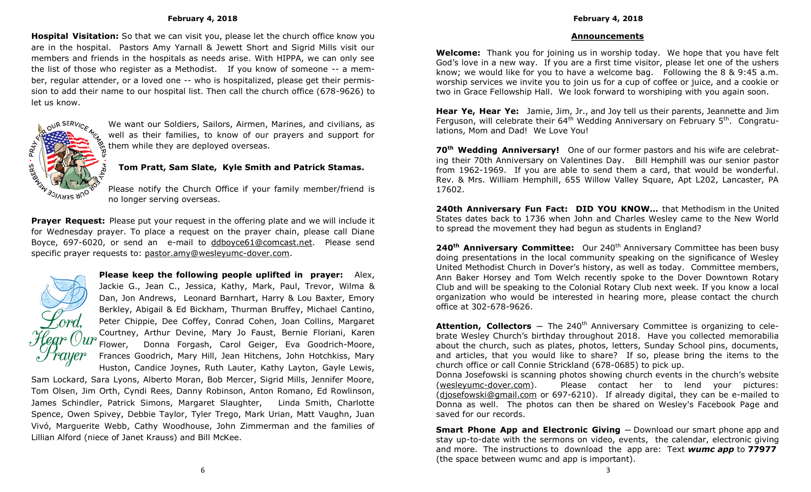**Hospital Visitation:** So that we can visit you, please let the church office know you are in the hospital. Pastors Amy Yarnall & Jewett Short and Sigrid Mills visit our members and friends in the hospitals as needs arise. With HIPPA, we can only see the list of those who register as a Methodist. If you know of someone -- a member, regular attender, or a loved one -- who is hospitalized, please get their permission to add their name to our hospital list. Then call the church office (678-9626) to let us know.



We want our Soldiers, Sailors, Airmen, Marines, and civilians, as well as their families, to know of our prayers and support for them while they are deployed overseas.

# **Tom Pratt, Sam Slate, Kyle Smith and Patrick Stamas.**

Please notify the Church Office if your family member/friend is no longer serving overseas.

**Prayer Request:** Please put your request in the offering plate and we will include it for Wednesday prayer. To place a request on the prayer chain, please call Diane Boyce, 697-6020, or send an e-mail to ddboyce61@comcast.net. Please send specific prayer requests to: [pastor.amy@wesleyumc-dover.com.](mailto:pastor.amy@wesleyumc-dover.com) 



**Please keep the following people uplifted in prayer:** Alex, Jackie G., Jean C., Jessica, Kathy, Mark, Paul, Trevor, Wilma & Dan, Jon Andrews, Leonard Barnhart, Harry & Lou Baxter, Emory Berkley, Abigail & Ed Bickham, Thurman Bruffey, Michael Cantino, Peter Chippie, Dee Coffey, Conrad Cohen, Joan Collins, Margaret Courtney, Arthur Devine, Mary Jo Faust, Bernie Floriani, Karen Flower, Donna Forgash, Carol Geiger, Eva Goodrich-Moore, Frances Goodrich, Mary Hill, Jean Hitchens, John Hotchkiss, Mary Huston, Candice Joynes, Ruth Lauter, Kathy Layton, Gayle Lewis,

Sam Lockard, Sara Lyons, Alberto Moran, Bob Mercer, Sigrid Mills, Jennifer Moore, Tom Olsen, Jim Orth, Cyndi Rees, Danny Robinson, Anton Romano, Ed Rowlinson, James Schindler, Patrick Simons, Margaret Slaughter, Linda Smith, Charlotte Spence, Owen Spivey, Debbie Taylor, Tyler Trego, Mark Urian, Matt Vaughn, Juan Vivó, Marguerite Webb, Cathy Woodhouse, John Zimmerman and the families of Lillian Alford (niece of Janet Krauss) and Bill McKee.

# **Announcements**

**Welcome:** Thank you for joining us in worship today. We hope that you have felt God's love in a new way. If you are a first time visitor, please let one of the ushers know; we would like for you to have a welcome bag. Following the 8 & 9:45 a.m. worship services we invite you to join us for a cup of coffee or juice, and a cookie or two in Grace Fellowship Hall. We look forward to worshiping with you again soon.

**Hear Ye, Hear Ye:** Jamie, Jim, Jr., and Joy tell us their parents, Jeannette and Jim Ferguson, will celebrate their  $64<sup>th</sup>$  Wedding Anniversary on February 5<sup>th</sup>. Congratulations, Mom and Dad! We Love You!

**70th Wedding Anniversary!** One of our former pastors and his wife are celebrating their 70th Anniversary on Valentines Day. Bill Hemphill was our senior pastor from 1962-1969. If you are able to send them a card, that would be wonderful. Rev. & Mrs. William Hemphill, 655 Willow Valley Square, Apt L202, Lancaster, PA 17602.

**240th Anniversary Fun Fact: DID YOU KNOW…** that Methodism in the United States dates back to 1736 when John and Charles Wesley came to the New World to spread the movement they had begun as students in England?

**240<sup>th</sup> Anniversary Committee:** Our 240<sup>th</sup> Anniversary Committee has been busy doing presentations in the local community speaking on the significance of Wesley United Methodist Church in Dover's history, as well as today. Committee members, Ann Baker Horsey and Tom Welch recently spoke to the Dover Downtown Rotary Club and will be speaking to the Colonial Rotary Club next week. If you know a local organization who would be interested in hearing more, please contact the church office at 302-678-9626.

Attention, Collectors – The 240<sup>th</sup> Anniversary Committee is organizing to celebrate Wesley Church's birthday throughout 2018. Have you collected memorabilia about the church, such as plates, photos, letters, Sunday School pins, documents, and articles, that you would like to share? If so, please bring the items to the church office or call Connie Strickland (678-0685) to pick up.

Donna Josefowski is scanning photos showing church events in the church's website (wesleyumc-dover.com). Please contact her to lend your pictures: (djosefowski@gmail.com or 697-6210). If already digital, they can be e-mailed to Donna as well. The photos can then be shared on Wesley's Facebook Page and saved for our records.

**Smart Phone App and Electronic Giving** ─ Download our smart phone app and stay up-to-date with the sermons on video, events, the calendar, electronic giving and more. The instructions to download the app are: Text *wumc app* to **77977** (the space between wumc and app is important).